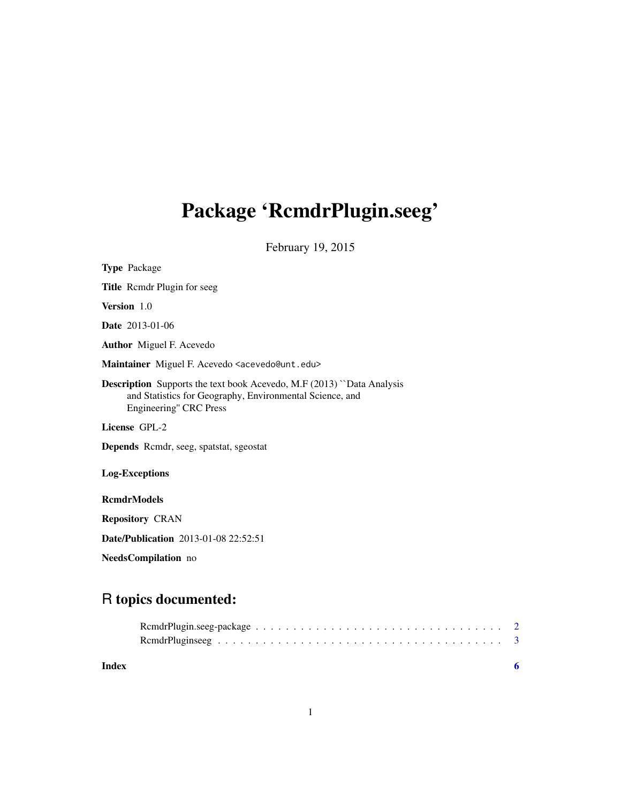# <span id="page-0-0"></span>Package 'RcmdrPlugin.seeg'

February 19, 2015

| <b>Type</b> Package                                                                                                                                                |  |  |  |
|--------------------------------------------------------------------------------------------------------------------------------------------------------------------|--|--|--|
| <b>Title</b> Rcmdr Plugin for seeg                                                                                                                                 |  |  |  |
| Version 1.0                                                                                                                                                        |  |  |  |
| <b>Date</b> 2013-01-06                                                                                                                                             |  |  |  |
| <b>Author</b> Miguel F. Acevedo                                                                                                                                    |  |  |  |
| Maintainer Miguel F. Acevedo <acevedo@unt.edu></acevedo@unt.edu>                                                                                                   |  |  |  |
| <b>Description</b> Supports the text book Acevedo, M.F (2013) "Data Analysis<br>and Statistics for Geography, Environmental Science, and<br>Engineering" CRC Press |  |  |  |
| License GPL-2                                                                                                                                                      |  |  |  |
| <b>Depends</b> Rcmdr, seeg, spatstat, sgeostat                                                                                                                     |  |  |  |
| <b>Log-Exceptions</b>                                                                                                                                              |  |  |  |
| <b>RcmdrModels</b>                                                                                                                                                 |  |  |  |
| <b>Repository CRAN</b>                                                                                                                                             |  |  |  |
| <b>Date/Publication</b> 2013-01-08 22:52:51                                                                                                                        |  |  |  |

NeedsCompilation no

# R topics documented:

| Index |  |
|-------|--|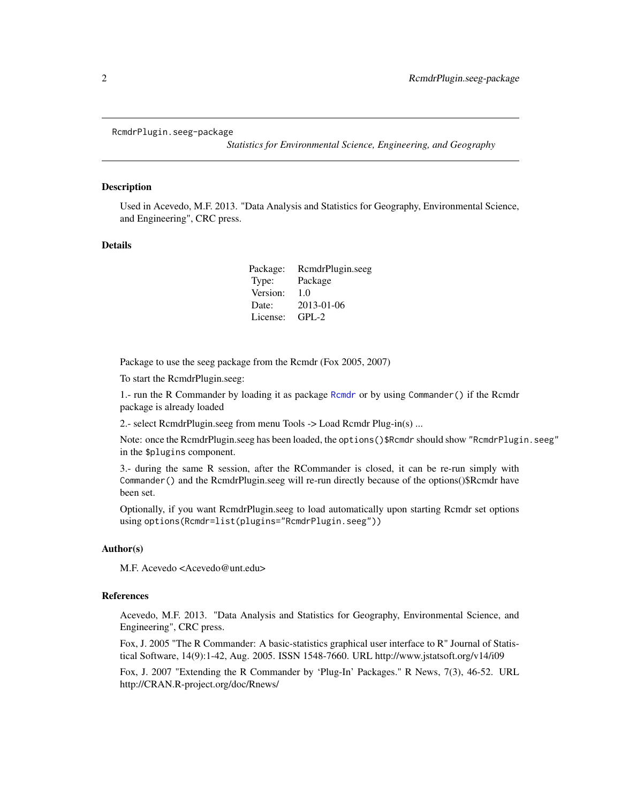```
RcmdrPlugin.seeg-package
```
*Statistics for Environmental Science, Engineering, and Geography*

#### Description

Used in Acevedo, M.F. 2013. "Data Analysis and Statistics for Geography, Environmental Science, and Engineering", CRC press.

#### Details

| RcmdrPlugin.seeg |
|------------------|
| Package          |
| 1.0              |
| 2013-01-06       |
| $GPL-2$          |
|                  |

Package to use the seeg package from the Rcmdr (Fox 2005, 2007)

To start the RcmdrPlugin.seeg:

1.- run the R Commander by loading it as package [Rcmdr](#page-0-0) or by using Commander() if the Rcmdr package is already loaded

2.- select RcmdrPlugin.seeg from menu Tools -> Load Rcmdr Plug-in(s) ...

Note: once the RcmdrPlugin.seeg has been loaded, the options()\$Rcmdr should show "RcmdrPlugin.seeg" in the \$plugins component.

3.- during the same R session, after the RCommander is closed, it can be re-run simply with Commander() and the RcmdrPlugin.seeg will re-run directly because of the options()\$Rcmdr have been set.

Optionally, if you want RcmdrPlugin.seeg to load automatically upon starting Rcmdr set options using options(Rcmdr=list(plugins="RcmdrPlugin.seeg"))

### Author(s)

M.F. Acevedo <Acevedo@unt.edu>

#### References

Acevedo, M.F. 2013. "Data Analysis and Statistics for Geography, Environmental Science, and Engineering", CRC press.

Fox, J. 2005 "The R Commander: A basic-statistics graphical user interface to R" Journal of Statistical Software, 14(9):1-42, Aug. 2005. ISSN 1548-7660. URL http://www.jstatsoft.org/v14/i09

Fox, J. 2007 "Extending the R Commander by 'Plug-In' Packages." R News, 7(3), 46-52. URL http://CRAN.R-project.org/doc/Rnews/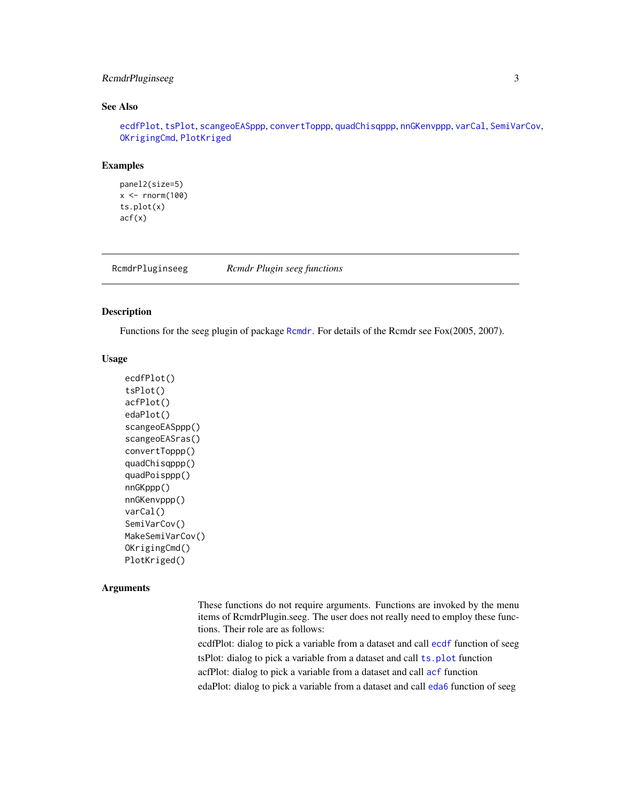# <span id="page-2-0"></span>RcmdrPluginseeg 3

# See Also

[ecdfPlot](#page-2-1), [tsPlot](#page-2-1), [scangeoEASppp](#page-2-1), [convertToppp](#page-2-1), [quadChisqppp](#page-2-1), [nnGKenvppp](#page-2-1), [varCal](#page-2-1), [SemiVarCov](#page-2-1), [OKrigingCmd](#page-2-1), [PlotKriged](#page-2-1)

#### Examples

```
panel2(size=5)
x < - rnorm(100)
ts.plot(x)
acf(x)
```
RcmdrPluginseeg *Rcmdr Plugin seeg functions*

# <span id="page-2-1"></span>Description

Functions for the seeg plugin of package [Rcmdr](#page-0-0). For details of the Rcmdr see Fox(2005, 2007).

#### Usage

```
ecdfPlot()
tsPlot()
acfPlot()
edaPlot()
scangeoEASppp()
scangeoEASras()
convertToppp()
quadChisqppp()
quadPoisppp()
nnGKppp()
nnGKenvppp()
varCal()
SemiVarCov()
MakeSemiVarCov()
OKrigingCmd()
PlotKriged()
```
# **Arguments**

These functions do not require arguments. Functions are invoked by the menu items of RcmdrPlugin.seeg. The user does not really need to employ these functions. Their role are as follows:

ecdfPlot: dialog to pick a variable from a dataset and call [ecdf](#page-0-0) function of seeg tsPlot: dialog to pick a variable from a dataset and call [ts.plot](#page-0-0) function acfPlot: dialog to pick a variable from a dataset and call [acf](#page-0-0) function edaPlot: dialog to pick a variable from a dataset and call [eda6](#page-0-0) function of seeg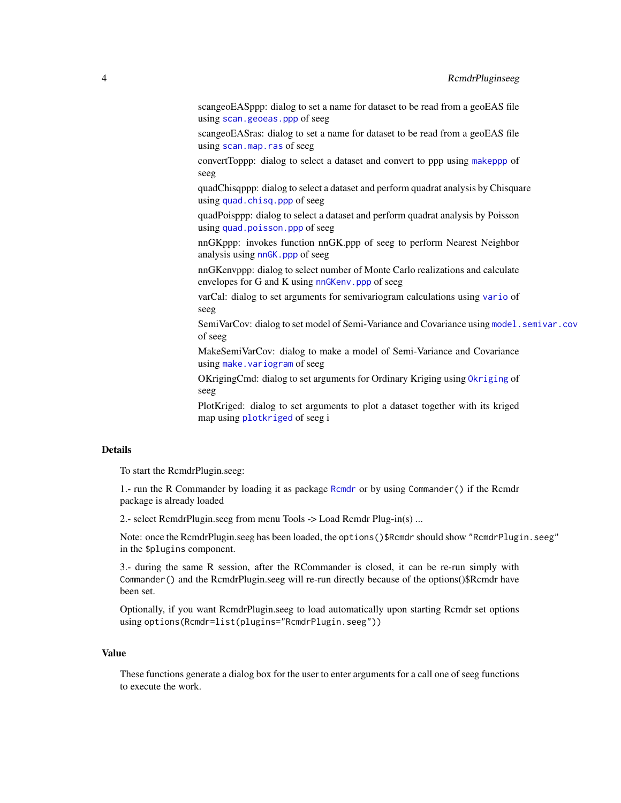<span id="page-3-0"></span>scangeoEASppp: dialog to set a name for dataset to be read from a geoEAS file using [scan.geoeas.ppp](#page-0-0) of seeg

scangeoEASras: dialog to set a name for dataset to be read from a geoEAS file using [scan.map.ras](#page-0-0) of seeg

convertToppp: dialog to select a dataset and convert to ppp using [makeppp](#page-0-0) of seeg

quadChisqppp: dialog to select a dataset and perform quadrat analysis by Chisquare using [quad.chisq.ppp](#page-0-0) of seeg

quadPoisppp: dialog to select a dataset and perform quadrat analysis by Poisson using [quad.poisson.ppp](#page-0-0) of seeg

nnGKppp: invokes function nnGK.ppp of seeg to perform Nearest Neighbor analysis using [nnGK.ppp](#page-0-0) of seeg

nnGKenvppp: dialog to select number of Monte Carlo realizations and calculate envelopes for G and K using [nnGKenv.ppp](#page-0-0) of seeg

varCal: dialog to set arguments for semivariogram calculations using [vario](#page-0-0) of seeg

SemiVarCov: dialog to set model of Semi-Variance and Covariance using model. semivar.cov of seeg

MakeSemiVarCov: dialog to make a model of Semi-Variance and Covariance using [make.variogram](#page-0-0) of seeg

OKrigingCmd: dialog to set arguments for Ordinary Kriging using [Okriging](#page-0-0) of seeg

PlotKriged: dialog to set arguments to plot a dataset together with its kriged map using [plotkriged](#page-0-0) of seeg i

## Details

To start the RcmdrPlugin.seeg:

1.- run the R Commander by loading it as package [Rcmdr](#page-0-0) or by using Commander() if the Rcmdr package is already loaded

2.- select RcmdrPlugin.seeg from menu Tools -> Load Rcmdr Plug-in(s) ...

Note: once the RcmdrPlugin.seeg has been loaded, the options()\$Rcmdr should show "RcmdrPlugin.seeg" in the \$plugins component.

3.- during the same R session, after the RCommander is closed, it can be re-run simply with Commander() and the RcmdrPlugin.seeg will re-run directly because of the options()\$Rcmdr have been set.

Optionally, if you want RcmdrPlugin.seeg to load automatically upon starting Rcmdr set options using options(Rcmdr=list(plugins="RcmdrPlugin.seeg"))

# Value

These functions generate a dialog box for the user to enter arguments for a call one of seeg functions to execute the work.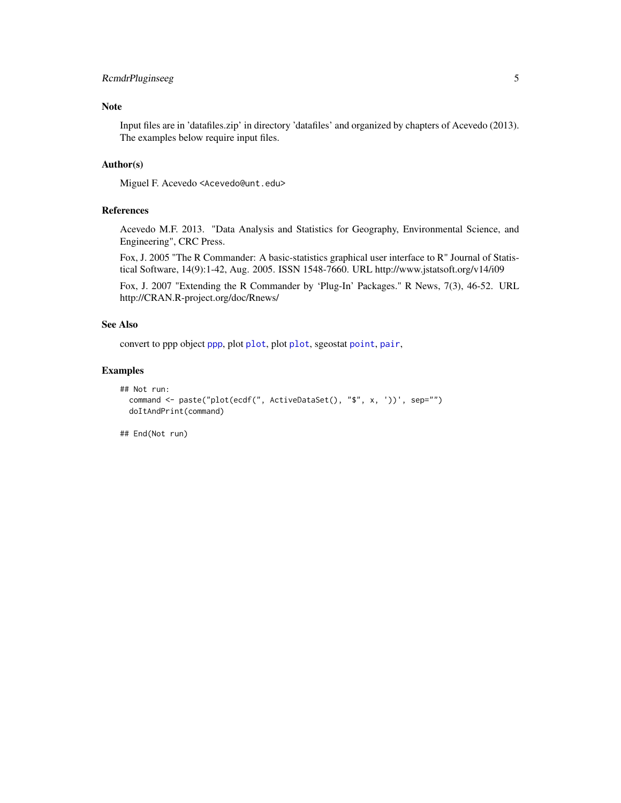# <span id="page-4-0"></span>RcmdrPluginseeg 5

# Note

Input files are in 'datafiles.zip' in directory 'datafiles' and organized by chapters of Acevedo (2013). The examples below require input files.

# Author(s)

Miguel F. Acevedo <Acevedo@unt.edu>

#### References

Acevedo M.F. 2013. "Data Analysis and Statistics for Geography, Environmental Science, and Engineering", CRC Press.

Fox, J. 2005 "The R Commander: A basic-statistics graphical user interface to R" Journal of Statistical Software, 14(9):1-42, Aug. 2005. ISSN 1548-7660. URL http://www.jstatsoft.org/v14/i09

Fox, J. 2007 "Extending the R Commander by 'Plug-In' Packages." R News, 7(3), 46-52. URL http://CRAN.R-project.org/doc/Rnews/

# See Also

convert to ppp object [ppp](#page-0-0), plot [plot](#page-0-0), plot [plot](#page-0-0), sgeostat [point](#page-0-0), [pair](#page-0-0),

# Examples

```
## Not run:
 command <- paste("plot(ecdf(", ActiveDataSet(), "$", x, '))', sep="")
 doItAndPrint(command)
```
## End(Not run)